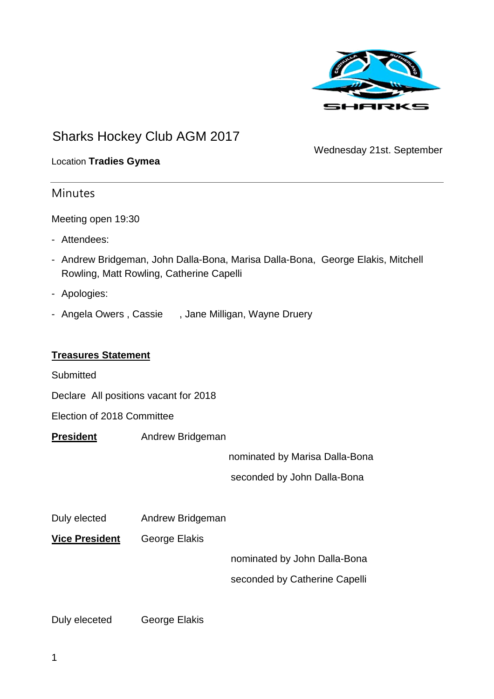

# Sharks Hockey Club AGM 2017

Wednesday 21st. September

#### Location **Tradies Gymea**

## **Minutes**

Meeting open 19:30

- Attendees:
- Andrew Bridgeman, John Dalla-Bona, Marisa Dalla-Bona, George Elakis, Mitchell Rowling, Matt Rowling, Catherine Capelli
- Apologies:
- Angela Owers, Cassie , Jane Milligan, Wayne Druery

#### **Treasures Statement**

**Submitted** 

Declare All positions vacant for 2018

Election of 2018 Committee

**President** Andrew Bridgeman

nominated by Marisa Dalla-Bona

seconded by John Dalla-Bona

Duly elected Andrew Bridgeman

**Vice President** George Elakis

nominated by John Dalla-Bona

seconded by Catherine Capelli

Duly eleceted George Elakis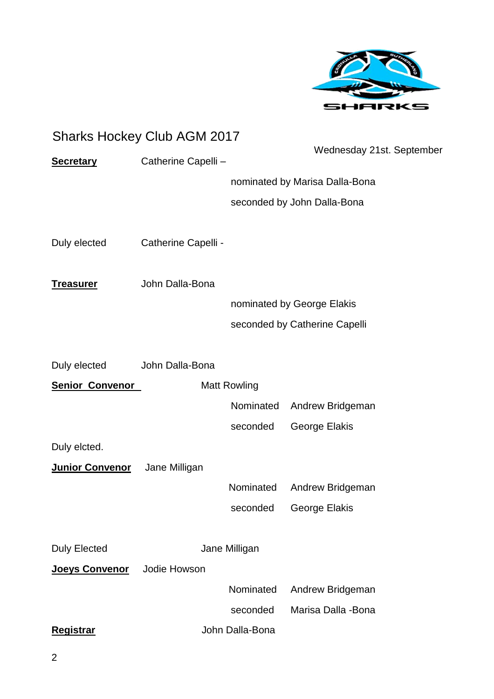

|                        | <b>Sharks Hockey Club AGM 2017</b> |                     |                                |
|------------------------|------------------------------------|---------------------|--------------------------------|
| <b>Secretary</b>       | Catherine Capelli -                |                     | Wednesday 21st. September      |
|                        |                                    |                     | nominated by Marisa Dalla-Bona |
|                        |                                    |                     | seconded by John Dalla-Bona    |
| Duly elected           | Catherine Capelli -                |                     |                                |
| <u>Treasurer</u>       | John Dalla-Bona                    |                     |                                |
|                        |                                    |                     | nominated by George Elakis     |
|                        |                                    |                     | seconded by Catherine Capelli  |
| Duly elected           | John Dalla-Bona                    |                     |                                |
| <b>Senior Convenor</b> |                                    | <b>Matt Rowling</b> |                                |
|                        |                                    | Nominated           | Andrew Bridgeman               |
|                        |                                    | seconded            | George Elakis                  |
| Duly elcted.           |                                    |                     |                                |
| <b>Junior Convenor</b> | Jane Milligan                      |                     |                                |
|                        |                                    | Nominated           | Andrew Bridgeman               |
|                        |                                    | seconded            | George Elakis                  |
| <b>Duly Elected</b>    |                                    | Jane Milligan       |                                |
| <b>Joeys Convenor</b>  | Jodie Howson                       |                     |                                |
|                        |                                    | Nominated           | Andrew Bridgeman               |
|                        |                                    | seconded            | Marisa Dalla -Bona             |
| <b>Registrar</b>       |                                    | John Dalla-Bona     |                                |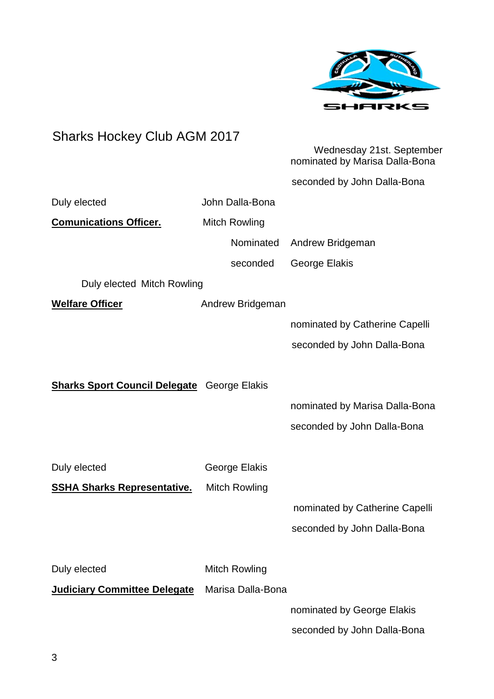

seconded by John Dalla-Bona

# Sharks Hockey Club AGM 2017 Wednesday 21st. September nominated by Marisa Dalla-Bona seconded by John Dalla-Bona Duly elected **John Dalla-Bona Comunications Officer.** Mitch Rowling Nominated Andrew Bridgeman seconded George Elakis Duly elected Mitch Rowling **Welfare Officer** Andrew Bridgeman nominated by Catherine Capelli seconded by John Dalla-Bona **Sharks Sport Council Delegate** George Elakis nominated by Marisa Dalla-Bona seconded by John Dalla-Bona Duly elected George Elakis **SSHA Sharks Representative.** Mitch Rowling nominated by Catherine Capelli seconded by John Dalla-Bona Duly elected Mitch Rowling **Judiciary Committee Delegate** Marisa Dalla-Bona nominated by George Elakis